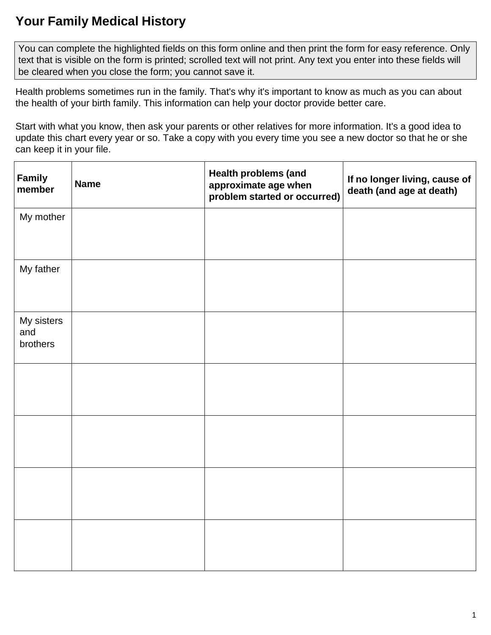## **Your Family Medical History**

 You can complete the highlighted fields on this form online and then print the form for easy reference. Only text that is visible on the form is printed; scrolled text will not print. Any text you enter into these fields will be cleared when you close the form; you cannot save it.

 Health problems sometimes run in the family. That's why it's important to know as much as you can about the health of your birth family. This information can help your doctor provide better care.

 Start with what you know, then ask your parents or other relatives for more information. It's a good idea to update this chart every year or so. Take a copy with you every time you see a new doctor so that he or she can keep it in your file.

| Family<br>member              | <b>Name</b> | <b>Health problems (and</b><br>approximate age when<br>problem started or occurred) | If no longer living, cause of<br>death (and age at death) |
|-------------------------------|-------------|-------------------------------------------------------------------------------------|-----------------------------------------------------------|
| My mother                     |             |                                                                                     |                                                           |
| My father                     |             |                                                                                     |                                                           |
| My sisters<br>and<br>brothers |             |                                                                                     |                                                           |
|                               |             |                                                                                     |                                                           |
|                               |             |                                                                                     |                                                           |
|                               |             |                                                                                     |                                                           |
|                               |             |                                                                                     |                                                           |